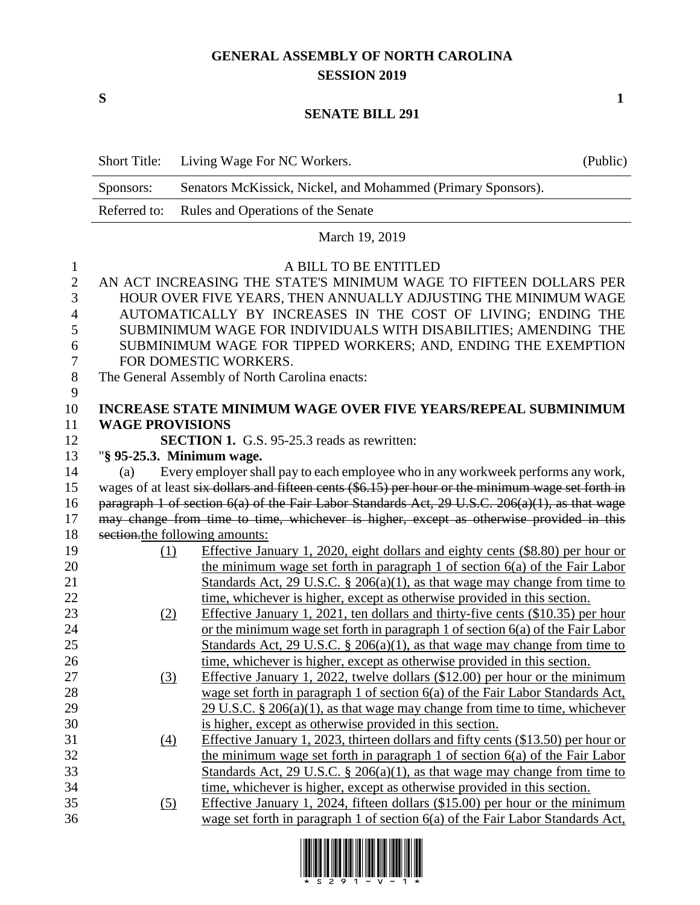## **GENERAL ASSEMBLY OF NORTH CAROLINA SESSION 2019**

**S 1**

## **SENATE BILL 291**

|                   | <b>Short Title:</b>                                                                                                            | Living Wage For NC Workers.                                                                        | (Public) |  |  |  |
|-------------------|--------------------------------------------------------------------------------------------------------------------------------|----------------------------------------------------------------------------------------------------|----------|--|--|--|
|                   | Sponsors:                                                                                                                      | Senators McKissick, Nickel, and Mohammed (Primary Sponsors).                                       |          |  |  |  |
|                   | Referred to:                                                                                                                   | Rules and Operations of the Senate                                                                 |          |  |  |  |
|                   |                                                                                                                                | March 19, 2019                                                                                     |          |  |  |  |
|                   |                                                                                                                                |                                                                                                    |          |  |  |  |
| $\mathbf{1}$      |                                                                                                                                | A BILL TO BE ENTITLED<br>AN ACT INCREASING THE STATE'S MINIMUM WAGE TO FIFTEEN DOLLARS PER         |          |  |  |  |
| $\mathbf{2}$<br>3 |                                                                                                                                |                                                                                                    |          |  |  |  |
| 4                 | HOUR OVER FIVE YEARS, THEN ANNUALLY ADJUSTING THE MINIMUM WAGE<br>AUTOMATICALLY BY INCREASES IN THE COST OF LIVING; ENDING THE |                                                                                                    |          |  |  |  |
| 5                 | SUBMINIMUM WAGE FOR INDIVIDUALS WITH DISABILITIES; AMENDING THE                                                                |                                                                                                    |          |  |  |  |
| 6                 | SUBMINIMUM WAGE FOR TIPPED WORKERS; AND, ENDING THE EXEMPTION                                                                  |                                                                                                    |          |  |  |  |
| 7                 | FOR DOMESTIC WORKERS.                                                                                                          |                                                                                                    |          |  |  |  |
| $8\,$             | The General Assembly of North Carolina enacts:                                                                                 |                                                                                                    |          |  |  |  |
| 9                 |                                                                                                                                |                                                                                                    |          |  |  |  |
| 10                |                                                                                                                                | <b>INCREASE STATE MINIMUM WAGE OVER FIVE YEARS/REPEAL SUBMINIMUM</b>                               |          |  |  |  |
| 11                | <b>WAGE PROVISIONS</b>                                                                                                         |                                                                                                    |          |  |  |  |
| 12                |                                                                                                                                | <b>SECTION 1.</b> G.S. 95-25.3 reads as rewritten:                                                 |          |  |  |  |
| 13                |                                                                                                                                | "§ 95-25.3. Minimum wage.                                                                          |          |  |  |  |
| 14                | (a)                                                                                                                            | Every employer shall pay to each employee who in any workweek performs any work,                   |          |  |  |  |
| 15                |                                                                                                                                | wages of at least six dollars and fifteen cents (\$6.15) per hour or the minimum wage set forth in |          |  |  |  |
| 16                | paragraph 1 of section 6(a) of the Fair Labor Standards Act, 29 U.S.C. 206(a)(1), as that wage                                 |                                                                                                    |          |  |  |  |
| 17                | may change from time to time, whichever is higher, except as otherwise provided in this                                        |                                                                                                    |          |  |  |  |
| 18                |                                                                                                                                | section.the following amounts:                                                                     |          |  |  |  |
| 19                | (1)                                                                                                                            | Effective January 1, 2020, eight dollars and eighty cents (\$8.80) per hour or                     |          |  |  |  |
| 20                |                                                                                                                                | the minimum wage set forth in paragraph $1$ of section $6(a)$ of the Fair Labor                    |          |  |  |  |
| 21                |                                                                                                                                | Standards Act, $29 \text{ U.S.C. }$ § $206(a)(1)$ , as that wage may change from time to           |          |  |  |  |
| 22                |                                                                                                                                | time, whichever is higher, except as otherwise provided in this section.                           |          |  |  |  |
| 23                | (2)                                                                                                                            | Effective January 1, 2021, ten dollars and thirty-five cents (\$10.35) per hour                    |          |  |  |  |
| 24                |                                                                                                                                | or the minimum wage set forth in paragraph 1 of section $6(a)$ of the Fair Labor                   |          |  |  |  |
| 25                |                                                                                                                                | Standards Act, 29 U.S.C. § 206(a)(1), as that wage may change from time to                         |          |  |  |  |
| 26                |                                                                                                                                | time, whichever is higher, except as otherwise provided in this section.                           |          |  |  |  |
| 27                | (3)                                                                                                                            | Effective January 1, 2022, twelve dollars $(\$12.00)$ per hour or the minimum                      |          |  |  |  |
| 28                |                                                                                                                                | wage set forth in paragraph 1 of section 6(a) of the Fair Labor Standards Act,                     |          |  |  |  |
| 29                |                                                                                                                                | 29 U.S.C. § 206(a)(1), as that wage may change from time to time, whichever                        |          |  |  |  |
| 30                |                                                                                                                                | is higher, except as otherwise provided in this section.                                           |          |  |  |  |
| 31                | (4)                                                                                                                            | Effective January 1, 2023, thirteen dollars and fifty cents (\$13.50) per hour or                  |          |  |  |  |
| 32                |                                                                                                                                | the minimum wage set forth in paragraph 1 of section $6(a)$ of the Fair Labor                      |          |  |  |  |
| 33                |                                                                                                                                | Standards Act, 29 U.S.C. § 206(a)(1), as that wage may change from time to                         |          |  |  |  |
| 34                |                                                                                                                                | time, whichever is higher, except as otherwise provided in this section.                           |          |  |  |  |
| 35                | (5)                                                                                                                            | Effective January 1, 2024, fifteen dollars (\$15.00) per hour or the minimum                       |          |  |  |  |
| 36                |                                                                                                                                | wage set forth in paragraph 1 of section 6(a) of the Fair Labor Standards Act,                     |          |  |  |  |

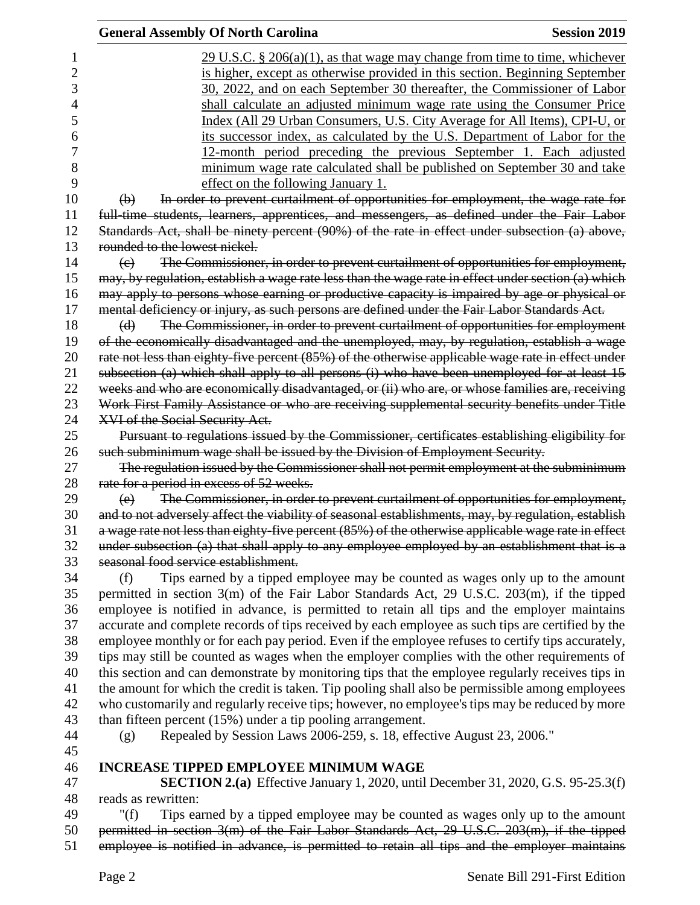| <b>General Assembly Of North Carolina</b>                                                                                       | <b>Session 2019</b> |
|---------------------------------------------------------------------------------------------------------------------------------|---------------------|
| $29 \text{ U.S.C. }$ \$ 206(a)(1), as that wage may change from time to time, whichever                                         |                     |
| is higher, except as otherwise provided in this section. Beginning September                                                    |                     |
| 30, 2022, and on each September 30 thereafter, the Commissioner of Labor                                                        |                     |
| shall calculate an adjusted minimum wage rate using the Consumer Price                                                          |                     |
| Index (All 29 Urban Consumers, U.S. City Average for All Items), CPI-U, or                                                      |                     |
| its successor index, as calculated by the U.S. Department of Labor for the                                                      |                     |
| 12-month period preceding the previous September 1. Each adjusted                                                               |                     |
| minimum wage rate calculated shall be published on September 30 and take                                                        |                     |
| effect on the following January 1.                                                                                              |                     |
| In order to prevent curtailment of opportunities for employment, the wage rate for<br>$\Theta$                                  |                     |
| full time students, learners, apprentices, and messengers, as defined under the Fair Labor                                      |                     |
|                                                                                                                                 |                     |
| Standards Act, shall be ninety percent (90%) of the rate in effect under subsection (a) above,<br>rounded to the lowest nickel. |                     |
|                                                                                                                                 |                     |
| The Commissioner, in order to prevent curtailment of opportunities for employment,<br>$\left(\mathrm{e}\right)$                 |                     |
| may, by regulation, establish a wage rate less than the wage rate in effect under section (a) which                             |                     |
| may apply to persons whose earning or productive capacity is impaired by age or physical or                                     |                     |
| mental deficiency or injury, as such persons are defined under the Fair Labor Standards Act.                                    |                     |
| The Commissioner, in order to prevent curtailment of opportunities for employment<br>(d)                                        |                     |
| of the economically disadvantaged and the unemployed, may, by regulation, establish a wage                                      |                     |
| rate not less than eighty-five percent (85%) of the otherwise applicable wage rate in effect under                              |                     |
| subsection (a) which shall apply to all persons (i) who have been unemployed for at least 15                                    |                     |
| weeks and who are economically disadvantaged, or (ii) who are, or whose families are, receiving                                 |                     |
| Work First Family Assistance or who are receiving supplemental security benefits under Title                                    |                     |
| XVI of the Social Security Act.                                                                                                 |                     |
| Pursuant to regulations issued by the Commissioner, certificates establishing eligibility for                                   |                     |
| such subminimum wage shall be issued by the Division of Employment Security.                                                    |                     |
| The regulation issued by the Commissioner shall not permit employment at the subminimum                                         |                     |
| rate for a period in excess of 52 weeks.                                                                                        |                     |
| The Commissioner, in order to prevent curtailment of opportunities for employment,<br>(e)                                       |                     |
| and to not adversely affect the viability of seasonal establishments, may, by regulation, establish                             |                     |
| a wage rate not less than eighty-five percent (85%) of the otherwise applicable wage rate in effect                             |                     |
| under subsection (a) that shall apply to any employee employed by an establishment that is a                                    |                     |
| seasonal food service establishment.                                                                                            |                     |
| Tips earned by a tipped employee may be counted as wages only up to the amount<br>(f)                                           |                     |
| permitted in section 3(m) of the Fair Labor Standards Act, 29 U.S.C. 203(m), if the tipped                                      |                     |
| employee is notified in advance, is permitted to retain all tips and the employer maintains                                     |                     |
| accurate and complete records of tips received by each employee as such tips are certified by the                               |                     |
| employee monthly or for each pay period. Even if the employee refuses to certify tips accurately,                               |                     |
| tips may still be counted as wages when the employer complies with the other requirements of                                    |                     |
| this section and can demonstrate by monitoring tips that the employee regularly receives tips in                                |                     |
| the amount for which the credit is taken. Tip pooling shall also be permissible among employees                                 |                     |
| who customarily and regularly receive tips; however, no employee's tips may be reduced by more                                  |                     |
| than fifteen percent (15%) under a tip pooling arrangement.                                                                     |                     |
| Repealed by Session Laws 2006-259, s. 18, effective August 23, 2006."<br>(g)                                                    |                     |
|                                                                                                                                 |                     |
| <b>INCREASE TIPPED EMPLOYEE MINIMUM WAGE</b>                                                                                    |                     |
| <b>SECTION 2.(a)</b> Effective January 1, 2020, until December 31, 2020, G.S. 95-25.3(f)                                        |                     |
| reads as rewritten:                                                                                                             |                     |
| Tips earned by a tipped employee may be counted as wages only up to the amount<br>" $(f)$                                       |                     |
| permitted in section 3(m) of the Fair Labor Standards Act, 29 U.S.C. 203(m), if the tipped                                      |                     |

employee is notified in advance, is permitted to retain all tips and the employer maintains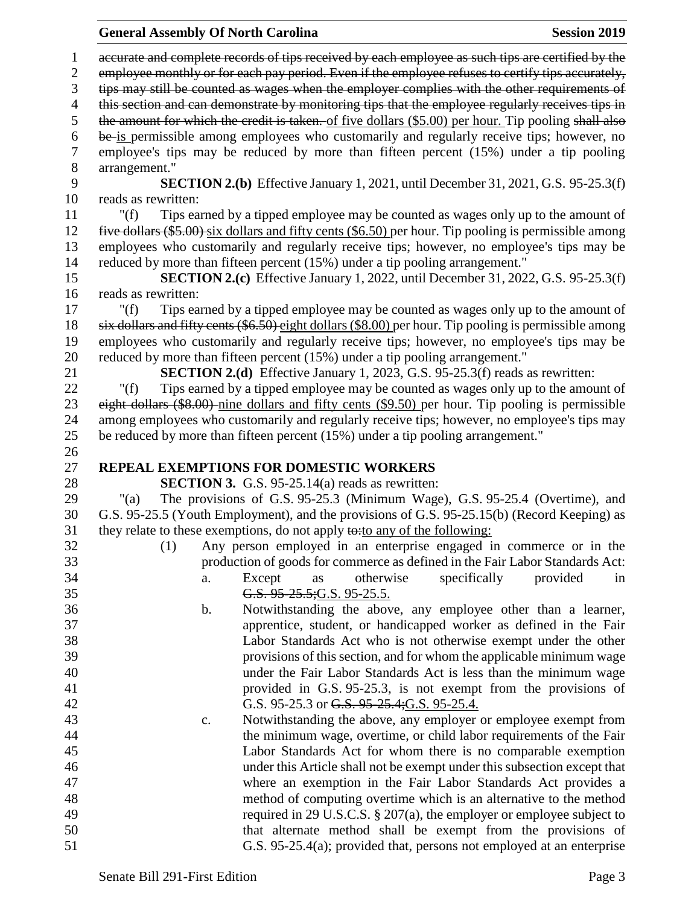**General Assembly Of North Carolina Session 2019 Session 2019**  accurate and complete records of tips received by each employee as such tips are certified by the employee monthly or for each pay period. Even if the employee refuses to certify tips accurately, tips may still be counted as wages when the employer complies with the other requirements of 4 this section and can demonstrate by monitoring tips that the employee regularly receives tips in 5 the amount for which the credit is taken. of five dollars (\$5.00) per hour. Tip pooling shall also be is permissible among employees who customarily and regularly receive tips; however, no employee's tips may be reduced by more than fifteen percent (15%) under a tip pooling 8 arrangement."<br>9 **SE SECTION 2.(b)** Effective January 1, 2021, until December 31, 2021, G.S. 95-25.3(f) reads as rewritten: "(f) Tips earned by a tipped employee may be counted as wages only up to the amount of five dollars (\$5.00) six dollars and fifty cents (\$6.50) per hour. Tip pooling is permissible among employees who customarily and regularly receive tips; however, no employee's tips may be reduced by more than fifteen percent (15%) under a tip pooling arrangement." **SECTION 2.(c)** Effective January 1, 2022, until December 31, 2022, G.S. 95-25.3(f) reads as rewritten: "(f) Tips earned by a tipped employee may be counted as wages only up to the amount of six dollars and fifty cents (\$6.50) eight dollars (\$8.00) per hour. Tip pooling is permissible among employees who customarily and regularly receive tips; however, no employee's tips may be reduced by more than fifteen percent (15%) under a tip pooling arrangement." **SECTION 2.(d)** Effective January 1, 2023, G.S. 95-25.3(f) reads as rewritten: "(f) Tips earned by a tipped employee may be counted as wages only up to the amount of eight dollars (\$8.00) nine dollars and fifty cents (\$9.50) per hour. Tip pooling is permissible among employees who customarily and regularly receive tips; however, no employee's tips may be reduced by more than fifteen percent (15%) under a tip pooling arrangement." **REPEAL EXEMPTIONS FOR DOMESTIC WORKERS SECTION 3.** G.S. 95-25.14(a) reads as rewritten: "(a) The provisions of G.S. 95-25.3 (Minimum Wage), G.S. 95-25.4 (Overtime), and G.S. 95-25.5 (Youth Employment), and the provisions of G.S. 95-25.15(b) (Record Keeping) as they relate to these exemptions, do not apply  $\leftrightarrow$  to any of the following: (1) Any person employed in an enterprise engaged in commerce or in the production of goods for commerce as defined in the Fair Labor Standards Act: a. Except as otherwise specifically provided in G.S. 95-25.5;G.S. 95-25.5. b. Notwithstanding the above, any employee other than a learner, apprentice, student, or handicapped worker as defined in the Fair Labor Standards Act who is not otherwise exempt under the other provisions of this section, and for whom the applicable minimum wage under the Fair Labor Standards Act is less than the minimum wage provided in G.S. 95-25.3, is not exempt from the provisions of 42 G.S. 95-25.3 or G.S. 95-25.4;G.S. 95-25.4. c. Notwithstanding the above, any employer or employee exempt from the minimum wage, overtime, or child labor requirements of the Fair Labor Standards Act for whom there is no comparable exemption under this Article shall not be exempt under this subsection except that where an exemption in the Fair Labor Standards Act provides a method of computing overtime which is an alternative to the method 49 required in 29 U.S.C.S. § 207(a), the employer or employee subject to that alternate method shall be exempt from the provisions of G.S. 95-25.4(a); provided that, persons not employed at an enterprise